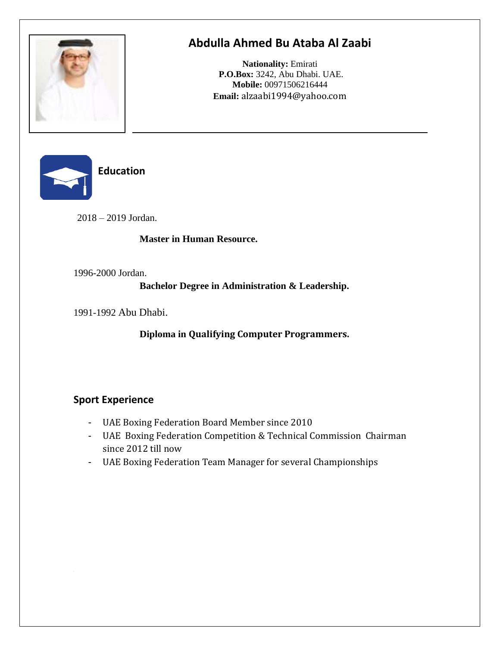

# **Abdulla Ahmed Bu Ataba Al Zaabi**

**Nationality:** Emirati **P.O.Box:** 3242, Abu Dhabi. UAE. **Mobile:** 00971506216444 **Email:** alzaabi1994@yahoo.com



**Education** 

2018 – 2019 Jordan.

### **Master in Human Resource.**

1996-2000 Jordan.

**Bachelor Degree in Administration & Leadership.**

1991-1992 Abu Dhabi.

**Diploma in Qualifying Computer Programmers.**

# **Sport Experience**

- UAE Boxing Federation Board Member since 2010
- UAE Boxing Federation Competition & Technical Commission Chairman since 2012 till now
- UAE Boxing Federation Team Manager for several Championships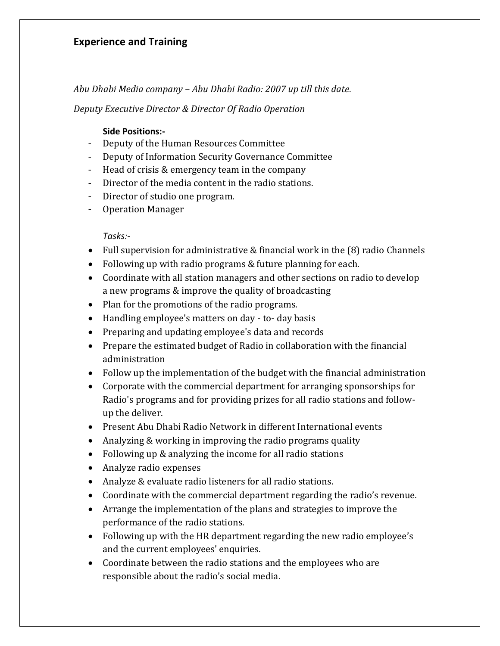### **Experience and Training**

*Abu Dhabi Media company – Abu Dhabi Radio: 2007 up till this date.*

*Deputy Executive Director & Director Of Radio Operation*

#### **Side Positions:-**

- Deputy of the Human Resources Committee
- Deputy of Information Security Governance Committee
- Head of crisis & emergency team in the company
- Director of the media content in the radio stations.
- Director of studio one program.
- Operation Manager

#### *Tasks:-*

- Full supervision for administrative & financial work in the (8) radio Channels
- Following up with radio programs & future planning for each.
- Coordinate with all station managers and other sections on radio to develop a new programs & improve the quality of broadcasting
- Plan for the promotions of the radio programs.
- Handling employee's matters on day to- day basis
- Preparing and updating employee's data and records
- Prepare the estimated budget of Radio in collaboration with the financial administration
- Follow up the implementation of the budget with the financial administration
- Corporate with the commercial department for arranging sponsorships for Radio's programs and for providing prizes for all radio stations and followup the deliver.
- Present Abu Dhabi Radio Network in different International events
- Analyzing & working in improving the radio programs quality
- Following up & analyzing the income for all radio stations
- Analyze radio expenses
- Analyze & evaluate radio listeners for all radio stations.
- Coordinate with the commercial department regarding the radio's revenue.
- Arrange the implementation of the plans and strategies to improve the performance of the radio stations.
- Following up with the HR department regarding the new radio employee's and the current employees' enquiries.
- Coordinate between the radio stations and the employees who are responsible about the radio's social media.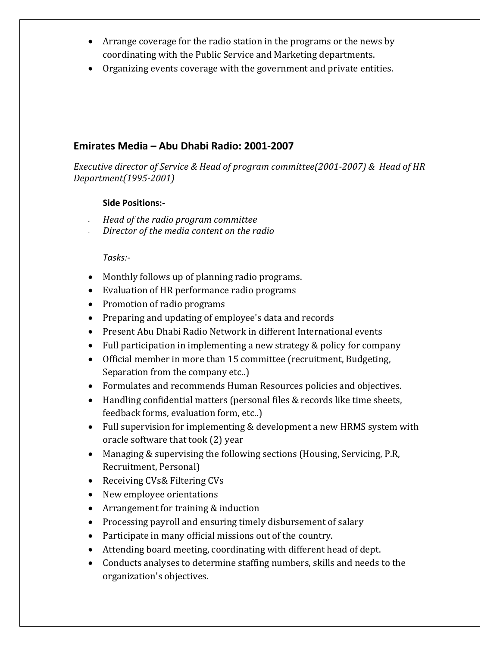- Arrange coverage for the radio station in the programs or the news by coordinating with the Public Service and Marketing departments.
- Organizing events coverage with the government and private entities.

### **Emirates Media – Abu Dhabi Radio: 2001-2007**

*Executive director of Service & Head of program committee(2001-2007) & Head of HR Department(1995-2001)*

#### **Side Positions:-**

- *Head of the radio program committee*
- *Director of the media content on the radio*

#### *Tasks:-*

- Monthly follows up of planning radio programs.
- Evaluation of HR performance radio programs
- Promotion of radio programs
- Preparing and updating of employee's data and records
- Present Abu Dhabi Radio Network in different International events
- Full participation in implementing a new strategy & policy for company
- Official member in more than 15 committee (recruitment, Budgeting, Separation from the company etc..)
- Formulates and recommends Human Resources policies and objectives.
- Handling confidential matters (personal files & records like time sheets, feedback forms, evaluation form, etc..)
- Full supervision for implementing & development a new HRMS system with oracle software that took (2) year
- Managing & supervising the following sections (Housing, Servicing, P.R, Recruitment, Personal)
- Receiving CVs& Filtering CVs
- New employee orientations
- Arrangement for training & induction
- Processing payroll and ensuring timely disbursement of salary
- Participate in many official missions out of the country.
- Attending board meeting, coordinating with different head of dept.
- Conducts analyses to determine staffing numbers, skills and needs to the organization's objectives.